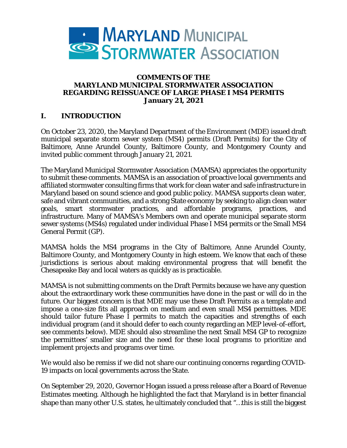

#### **COMMENTS OF THE MARYLAND MUNICIPAL STORMWATER ASSOCIATION REGARDING REISSUANCE OF LARGE PHASE I MS4 PERMITS January 21, 2021**

#### **I. INTRODUCTION**

On October 23, 2020, the Maryland Department of the Environment (MDE) issued draft municipal separate storm sewer system (MS4) permits (Draft Permits) for the City of Baltimore, Anne Arundel County, Baltimore County, and Montgomery County and invited public comment through January 21, 2021.

The Maryland Municipal Stormwater Association (MAMSA) appreciates the opportunity to submit these comments. MAMSA is an association of proactive local governments and affiliated stormwater consulting firms that work for clean water and safe infrastructure in Maryland based on sound science and good public policy. MAMSA supports clean water, safe and vibrant communities, and a strong State economy by seeking to align clean water goals, smart stormwater practices, and affordable programs, practices, and infrastructure. Many of MAMSA's Members own and operate municipal separate storm sewer systems (MS4s) regulated under individual Phase I MS4 permits or the Small MS4 General Permit (GP).

MAMSA holds the MS4 programs in the City of Baltimore, Anne Arundel County, Baltimore County, and Montgomery County in high esteem. We know that each of these jurisdictions is serious about making environmental progress that will benefit the Chesapeake Bay and local waters as quickly as is practicable.

MAMSA is not submitting comments on the Draft Permits because we have any question about the extraordinary work these communities have done in the past or will do in the future. Our biggest concern is that MDE may use these Draft Permits as a template and impose a one-size fits all approach on medium and even small MS4 permittees. MDE should tailor future Phase I permits to match the capacities and strengths of each individual program (and it should defer to each county regarding an MEP level-of-effort, see comments below). MDE should also streamline the next Small MS4 GP to recognize the permittees' smaller size and the need for these local programs to prioritize and implement projects and programs over time.

We would also be remiss if we did not share our continuing concerns regarding COVID-19 impacts on local governments across the State.

On September 29, 2020, Governor Hogan issued a press release after a Board of Revenue Estimates meeting. Although he highlighted the fact that Maryland is in better financial shape than many other U.S. states, he ultimately concluded that "…this is still the biggest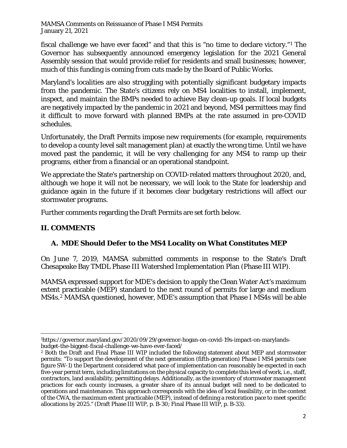fiscal challenge we have ever faced" and that this is "no time to declare victory."[1](#page-1-0) The Governor has subsequently announced emergency legislation for the 2021 General Assembly session that would provide relief for residents and small businesses; however, much of this funding is coming from cuts made by the Board of Public Works.

Maryland's localities are also struggling with potentially significant budgetary impacts from the pandemic. The State's citizens rely on MS4 localities to install, implement, inspect, and maintain the BMPs needed to achieve Bay clean-up goals. If local budgets are negatively impacted by the pandemic in 2021 and beyond, MS4 permittees may find it difficult to move forward with planned BMPs at the rate assumed in pre-COVID schedules.

Unfortunately, the Draft Permits impose new requirements (for example, requirements to develop a county level salt management plan) at exactly the wrong time. Until we have moved past the pandemic, it will be very challenging for any MS4 to ramp up their programs, either from a financial or an operational standpoint.

We appreciate the State's partnership on COVID-related matters throughout 2020, and, although we hope it will not be necessary, we will look to the State for leadership and guidance again in the future if it becomes clear budgetary restrictions will affect our stormwater programs.

Further comments regarding the Draft Permits are set forth below.

### **II. COMMENTS**

# **A. MDE Should Defer to the MS4 Locality on What Constitutes MEP**

On June 7, 2019, MAMSA submitted comments in response to the State's Draft Chesapeake Bay TMDL Phase III Watershed Implementation Plan (Phase III WIP).

MAMSA expressed support for MDE's decision to apply the Clean Water Act's maximum extent practicable (MEP) standard to the next round of permits for large and medium MS4s.[2](#page-1-1) MAMSA questioned, however, MDE's assumption that Phase I MS4s will be able

<span id="page-1-0"></span><sup>1</sup>https://governor.maryland.gov/2020/09/29/governor-hogan-on-covid-19s-impact-on-marylandsbudget-the-biggest-fiscal-challenge-we-have-ever-faced/

<span id="page-1-1"></span><sup>&</sup>lt;sup>2</sup> Both the Draft and Final Phase III WIP included the following statement about MEP and stormwater permits: "To support the development of the next generation (fifth-generation) Phase I MS4 permits (see figure SW-1) the Department considered what pace of implementation can reasonably be expected in each five-year permit term, including limitations on the physical capacity to complete this level of work, i.e., staff, contractors, land availability, permitting delays. Additionally, as the inventory of stormwater management practices for each county increases, a greater share of its annual budget will need to be dedicated to operations and maintenance. This approach corresponds with the idea of local feasibility, or in the context of the CWA, the maximum extent practicable (MEP), instead of defining a restoration pace to meet specific allocations by 2025." (Draft Phase III WIP, p. B-30; Final Phase III WIP, p. B-33).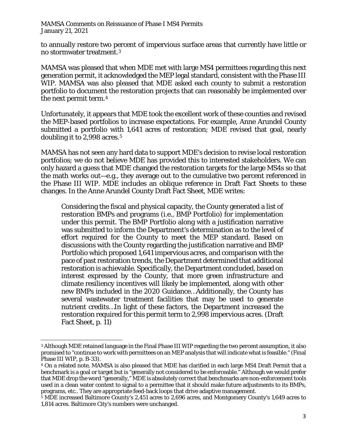to annually restore two percent of impervious surface areas that currently have little or no stormwater treatment.[3](#page-2-0)

MAMSA was pleased that when MDE met with large MS4 permittees regarding this next generation permit, it acknowledged the MEP legal standard, consistent with the Phase III WIP. MAMSA was also pleased that MDE asked each county to submit a restoration portfolio to document the restoration projects that can reasonably be implemented over the next permit term.[4](#page-2-1)

Unfortunately, it appears that MDE took the excellent work of these counties and revised the MEP-based portfolios to increase expectations. For example, Anne Arundel County submitted a portfolio with 1,641 acres of restoration; MDE revised that goal, nearly doubling it to 2,998 acres.<sup>[5](#page-2-2)</sup>

MAMSA has not seen any hard data to support MDE's decision to revise local restoration portfolios; we do not believe MDE has provided this to interested stakeholders. We can only hazard a guess that MDE changed the restoration targets for the large MS4s so that the math works out—e.g., they average out to the cumulative two percent referenced in the Phase III WIP. MDE includes an oblique reference in Draft Fact Sheets to these changes. In the Anne Arundel County Draft Fact Sheet, MDE writes:

Considering the fiscal and physical capacity, the County generated a list of restoration BMPs and programs (i.e., BMP Portfolio) for implementation under this permit. The BMP Portfolio along with a justification narrative was submitted to inform the Department's determination as to the level of effort required for the County to meet the MEP standard. Based on discussions with the County regarding the justification narrative and BMP Portfolio which proposed 1,641 impervious acres, and comparison with the pace of past restoration trends, the Department determined that additional restoration is achievable. Specifically, the Department concluded, based on interest expressed by the County, that more green infrastructure and climate resiliency incentives will likely be implemented, along with other new BMPs included in the 2020 Guidance…Additionally, the County has several wastewater treatment facilities that may be used to generate nutrient credits…In light of these factors, the Department increased the restoration required for this permit term to 2,998 impervious acres. (Draft Fact Sheet, p. 11)

<span id="page-2-0"></span><sup>3</sup> Although MDE retained language in the Final Phase III WIP regarding the two percent assumption, it also promised to "continue to work with permittees on an MEP analysis that will indicate what is feasible." (Final Phase III WIP, p. B-33).

<span id="page-2-1"></span><sup>4</sup> On a related note, MAMSA is also pleased that MDE has clarified in each large MS4 Draft Permit that a benchmark is a goal or target but is "generally not considered to be enforceable." Although we would prefer that MDE drop the word "generally," MDE is absolutely correct that benchmarks are non-enforcement tools used in a clean water context to signal to a permittee that it should make future adjustments to its BMPs, programs, etc.. They are appropriate feed-back loops that drive adaptive management.

<span id="page-2-2"></span><sup>5</sup> MDE increased Baltimore County's 2,451 acres to 2,696 acres, and Montgomery County's 1,649 acres to 1,814 acres. Baltimore City's numbers were unchanged.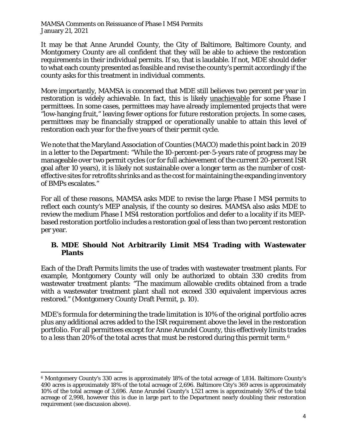It may be that Anne Arundel County, the City of Baltimore, Baltimore County, and Montgomery County are all confident that they will be able to achieve the restoration requirements in their individual permits. If so, that is laudable. If not, MDE should defer to what each county presented as feasible and revise the county's permit accordingly if the county asks for this treatment in individual comments.

More importantly, MAMSA is concerned that MDE still believes two percent per year in restoration is widely achievable. In fact, this is likely unachievable for some Phase I permittees. In some cases, permittees may have already implemented projects that were "low-hanging fruit," leaving fewer options for future restoration projects. In some cases, permittees may be financially strapped or operationally unable to attain this level of restoration each year for the five years of their permit cycle.

We note that the Maryland Association of Counties (MACO) made this point back in 2019 in a letter to the Department: "While the 10-percent-per-5-years rate of progress may be manageable over two permit cycles (or for full achievement of the current 20-percent ISR goal after 10 years), it is likely not sustainable over a longer term as the number of costeffective sites for retrofits shrinks and as the cost for maintaining the expanding inventory of BMPs escalates."

For all of these reasons, MAMSA asks MDE to revise the large Phase I MS4 permits to reflect each county's MEP analysis, if the county so desires. MAMSA also asks MDE to review the medium Phase I MS4 restoration portfolios and defer to a locality if its MEPbased restoration portfolio includes a restoration goal of less than two percent restoration per year.

### **B. MDE Should Not Arbitrarily Limit MS4 Trading with Wastewater Plants**

Each of the Draft Permits limits the use of trades with wastewater treatment plants. For example, Montgomery County will only be authorized to obtain 330 credits from wastewater treatment plants: "The maximum allowable credits obtained from a trade with a wastewater treatment plant shall not exceed 330 equivalent impervious acres restored." (Montgomery County Draft Permit, p. 10).

MDE's formula for determining the trade limitation is 10% of the original portfolio acres plus any additional acres added to the ISR requirement above the level in the restoration portfolio. For all permittees except for Anne Arundel County, this effectively limits trades to a less than 20% of the total acres that must be restored during this permit term.[6](#page-3-0)

<span id="page-3-0"></span><sup>6</sup> Montgomery County's 330 acres is approximately 18% of the total acreage of 1,814. Baltimore County's 490 acres is approximately 18% of the total acreage of 2,696. Baltimore City's 369 acres is approximately 10% of the total acreage of 3,696. Anne Arundel County's 1,521 acres is approximately 50% of the total acreage of 2,998, however this is due in large part to the Department nearly doubling their restoration requirement (see discussion above).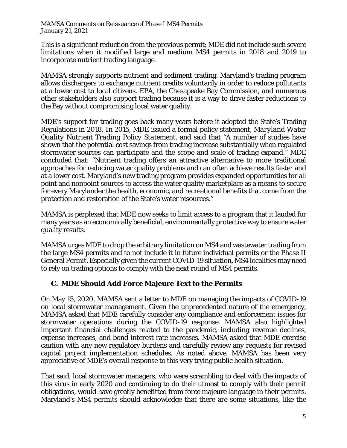This is a significant reduction from the previous permit; MDE did not include such severe limitations when it modified large and medium MS4 permits in 2018 and 2019 to incorporate nutrient trading language.

MAMSA strongly supports nutrient and sediment trading. Maryland's trading program allows dischargers to exchange nutrient credits voluntarily in order to reduce pollutants at a lower cost to local citizens. EPA, the Chesapeake Bay Commission, and numerous other stakeholders also support trading because it is a way to drive faster reductions to the Bay without compromising local water quality.

MDE's support for trading goes back many years before it adopted the State's Trading Regulations in 2018. In 2015, MDE issued a formal policy statement, *Maryland Water Quality Nutrient Trading Policy Statement*, and said that "A number of studies have shown that the potential cost savings from trading increase substantially when regulated stormwater sources can participate and the scope and scale of trading expand." MDE concluded that: "Nutrient trading offers an attractive alternative to more traditional approaches for reducing water quality problems and can often achieve results faster and at a lower cost. Maryland's new trading program provides expanded opportunities for all point and nonpoint sources to access the water quality marketplace as a means to secure for every Marylander the health, economic, and recreational benefits that come from the protection and restoration of the State's water resources."

MAMSA is perplexed that MDE now seeks to limit access to a program that it lauded for many years as an economically beneficial, environmentally protective way to ensure water quality results.

MAMSA urges MDE to drop the arbitrary limitation on MS4 and wastewater trading from the large MS4 permits and to not include it in future individual permits or the Phase II General Permit. Especially given the current COVID-19 situation, MS4 localities may need to rely on trading options to comply with the next round of MS4 permits.

#### **C. MDE Should Add Force Majeure Text to the Permits**

On May 15, 2020, MAMSA sent a letter to MDE on managing the impacts of COVID-19 on local stormwater management. Given the unprecedented nature of the emergency, MAMSA asked that MDE carefully consider any compliance and enforcement issues for stormwater operations during the COVID-19 response. MAMSA also highlighted important financial challenges related to the pandemic, including revenue declines, expense increases, and bond interest rate increases. MAMSA asked that MDE exercise caution with any new regulatory burdens and carefully review any requests for revised capital project implementation schedules. As noted above, MAMSA has been very appreciative of MDE's overall response to this very trying public health situation.

That said, local stormwater managers, who were scrambling to deal with the impacts of this virus in early 2020 and continuing to do their utmost to comply with their permit obligations, would have greatly benefitted from force majeure language in their permits. Maryland's MS4 permits should acknowledge that there are some situations, like the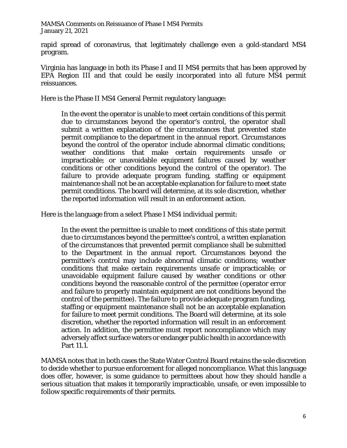rapid spread of coronavirus, that legitimately challenge even a gold-standard MS4 program.

Virginia has language in both its Phase I and II MS4 permits that has been approved by EPA Region III and that could be easily incorporated into all future MS4 permit reissuances.

Here is the Phase II MS4 General Permit regulatory language:

In the event the operator is unable to meet certain conditions of this permit due to circumstances beyond the operator's control, the operator shall submit a written explanation of the circumstances that prevented state permit compliance to the department in the annual report. Circumstances beyond the control of the operator include abnormal climatic conditions; weather conditions that make certain requirements unsafe or impracticable; or unavoidable equipment failures caused by weather conditions or other conditions beyond the control of the operator). The failure to provide adequate program funding, staffing or equipment maintenance shall not be an acceptable explanation for failure to meet state permit conditions. The board will determine, at its sole discretion, whether the reported information will result in an enforcement action.

Here is the language from a select Phase I MS4 individual permit:

In the event the permittee is unable to meet conditions of this state permit due to circumstances beyond the permittee's control, a written explanation of the circumstances that prevented permit compliance shall be submitted to the Department in the annual report. Circumstances beyond the permittee's control may include abnormal climatic conditions; weather conditions that make certain requirements unsafe or impracticable; or unavoidable equipment failure caused by weather conditions or other conditions beyond the reasonable control of the permittee (operator error and failure to properly maintain equipment are not conditions beyond the control of the permittee). The failure to provide adequate program funding, staffing or equipment maintenance shall not be an acceptable explanation for failure to meet permit conditions. The Board will determine, at its sole discretion, whether the reported information will result in an enforcement action. In addition, the permittee must report noncompliance which may adversely affect surface waters or endanger public health in accordance with Part 11.1.

MAMSA notes that in both cases the State Water Control Board retains the sole discretion to decide whether to pursue enforcement for alleged noncompliance. What this language does offer, however, is some guidance to permittees about how they should handle a serious situation that makes it temporarily impracticable, unsafe, or even impossible to follow specific requirements of their permits.